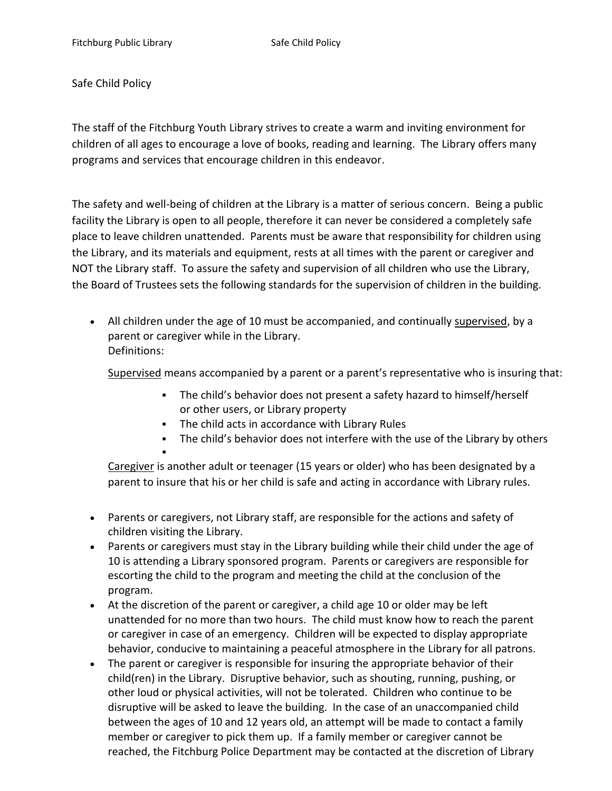Safe Child Policy

The staff of the Fitchburg Youth Library strives to create a warm and inviting environment for children of all ages to encourage a love of books, reading and learning. The Library offers many programs and services that encourage children in this endeavor.

The safety and well-being of children at the Library is a matter of serious concern. Being a public facility the Library is open to all people, therefore it can never be considered a completely safe place to leave children unattended. Parents must be aware that responsibility for children using the Library, and its materials and equipment, rests at all times with the parent or caregiver and NOT the Library staff. To assure the safety and supervision of all children who use the Library, the Board of Trustees sets the following standards for the supervision of children in the building.

• All children under the age of 10 must be accompanied, and continually supervised, by a parent or caregiver while in the Library. Definitions:

Supervised means accompanied by a parent or a parent's representative who is insuring that:

- The child's behavior does not present a safety hazard to himself/herself or other users, or Library property
- **EXECT** The child acts in accordance with Library Rules
- **•** The child's behavior does not interfere with the use of the Library by others ▪

Caregiver is another adult or teenager (15 years or older) who has been designated by a parent to insure that his or her child is safe and acting in accordance with Library rules.

- Parents or caregivers, not Library staff, are responsible for the actions and safety of children visiting the Library.
- Parents or caregivers must stay in the Library building while their child under the age of 10 is attending a Library sponsored program. Parents or caregivers are responsible for escorting the child to the program and meeting the child at the conclusion of the program.
- At the discretion of the parent or caregiver, a child age 10 or older may be left unattended for no more than two hours. The child must know how to reach the parent or caregiver in case of an emergency. Children will be expected to display appropriate behavior, conducive to maintaining a peaceful atmosphere in the Library for all patrons.
- The parent or caregiver is responsible for insuring the appropriate behavior of their child(ren) in the Library. Disruptive behavior, such as shouting, running, pushing, or other loud or physical activities, will not be tolerated. Children who continue to be disruptive will be asked to leave the building. In the case of an unaccompanied child between the ages of 10 and 12 years old, an attempt will be made to contact a family member or caregiver to pick them up. If a family member or caregiver cannot be reached, the Fitchburg Police Department may be contacted at the discretion of Library